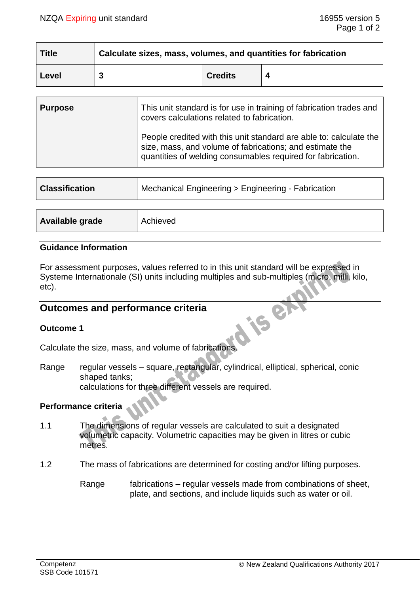| <b>Title</b> | Calculate sizes, mass, volumes, and quantities for fabrication |                |  |  |
|--------------|----------------------------------------------------------------|----------------|--|--|
| Level        |                                                                | <b>Credits</b> |  |  |

| <b>Purpose</b> | This unit standard is for use in training of fabrication trades and<br>covers calculations related to fabrication.                                                                            |
|----------------|-----------------------------------------------------------------------------------------------------------------------------------------------------------------------------------------------|
|                | People credited with this unit standard are able to: calculate the<br>size, mass, and volume of fabrications; and estimate the<br>quantities of welding consumables required for fabrication. |

| <b>Classification</b> | Mechanical Engineering > Engineering - Fabrication |  |
|-----------------------|----------------------------------------------------|--|
|                       |                                                    |  |
| Available grade       | Achieved                                           |  |

### **Guidance Information**

For assessment purposes, values referred to in this unit standard will be expressed in Systeme Internationale (SI) units including multiples and sub-multiples (micro, milli, kilo, etc).

# **Outcomes and performance criteria**

### **Outcome 1**

Calculate the size, mass, and volume of fabrications.

Range regular vessels – square, rectangular, cylindrical, elliptical, spherical, conic shaped tanks; calculations for three different vessels are required.

## **Performance criteria**

- 1.1 The dimensions of regular vessels are calculated to suit a designated volumetric capacity. Volumetric capacities may be given in litres or cubic metres.
- 1.2 The mass of fabrications are determined for costing and/or lifting purposes.
	- Range fabrications regular vessels made from combinations of sheet, plate, and sections, and include liquids such as water or oil.

P

iS